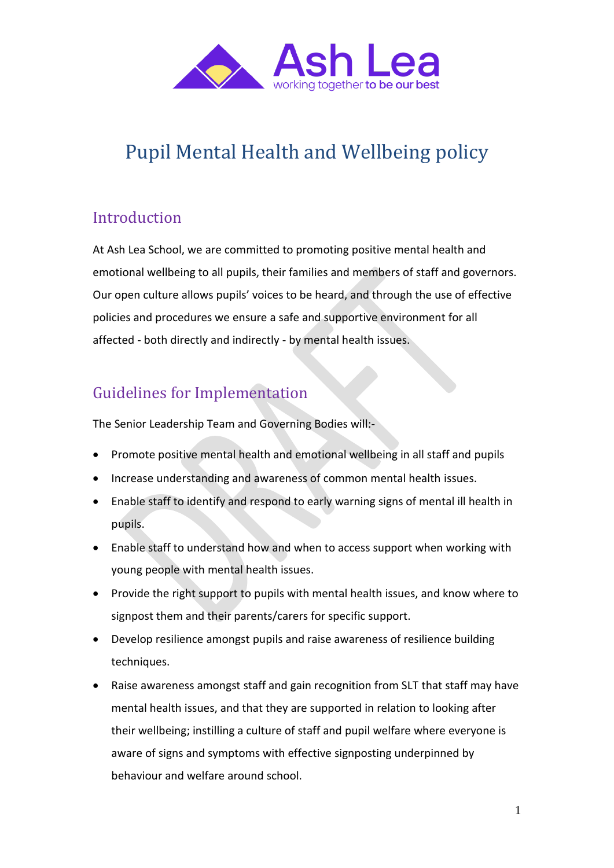

# Pupil Mental Health and Wellbeing policy

# Introduction

At Ash Lea School, we are committed to promoting positive mental health and emotional wellbeing to all pupils, their families and members of staff and governors. Our open culture allows pupils' voices to be heard, and through the use of effective policies and procedures we ensure a safe and supportive environment for all affected - both directly and indirectly - by mental health issues.

### Guidelines for Implementation

The Senior Leadership Team and Governing Bodies will:-

- Promote positive mental health and emotional wellbeing in all staff and pupils
- Increase understanding and awareness of common mental health issues.
- Enable staff to identify and respond to early warning signs of mental ill health in pupils.
- Enable staff to understand how and when to access support when working with young people with mental health issues.
- Provide the right support to pupils with mental health issues, and know where to signpost them and their parents/carers for specific support.
- Develop resilience amongst pupils and raise awareness of resilience building techniques.
- Raise awareness amongst staff and gain recognition from SLT that staff may have mental health issues, and that they are supported in relation to looking after their wellbeing; instilling a culture of staff and pupil welfare where everyone is aware of signs and symptoms with effective signposting underpinned by behaviour and welfare around school.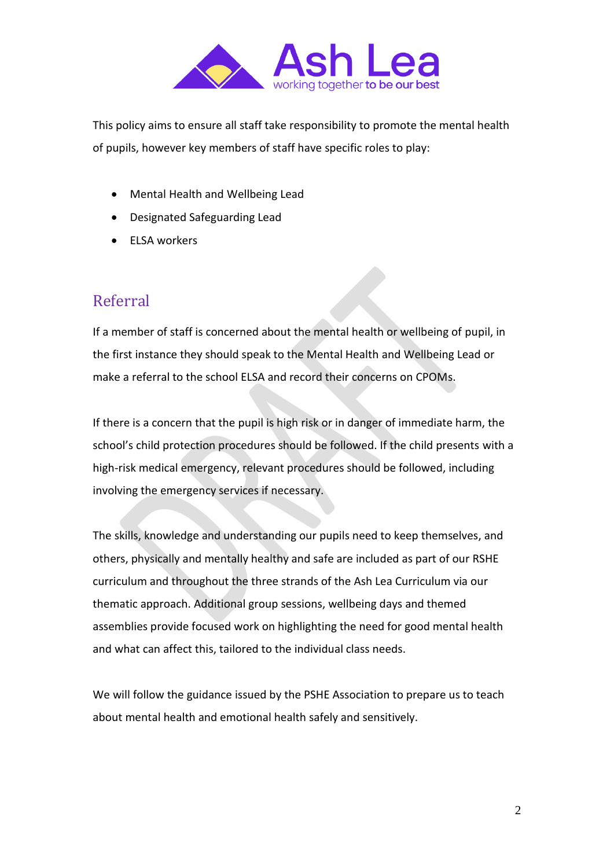

This policy aims to ensure all staff take responsibility to promote the mental health of pupils, however key members of staff have specific roles to play:

- Mental Health and Wellbeing Lead
- Designated Safeguarding Lead
- ELSA workers

#### Referral

If a member of staff is concerned about the mental health or wellbeing of pupil, in the first instance they should speak to the Mental Health and Wellbeing Lead or make a referral to the school ELSA and record their concerns on CPOMs.

If there is a concern that the pupil is high risk or in danger of immediate harm, the school's child protection procedures should be followed. If the child presents with a high-risk medical emergency, relevant procedures should be followed, including involving the emergency services if necessary.

The skills, knowledge and understanding our pupils need to keep themselves, and others, physically and mentally healthy and safe are included as part of our RSHE curriculum and throughout the three strands of the Ash Lea Curriculum via our thematic approach. Additional group sessions, wellbeing days and themed assemblies provide focused work on highlighting the need for good mental health and what can affect this, tailored to the individual class needs.

We will follow the guidance issued by the PSHE Association to prepare us to teach about mental health and emotional health safely and sensitively.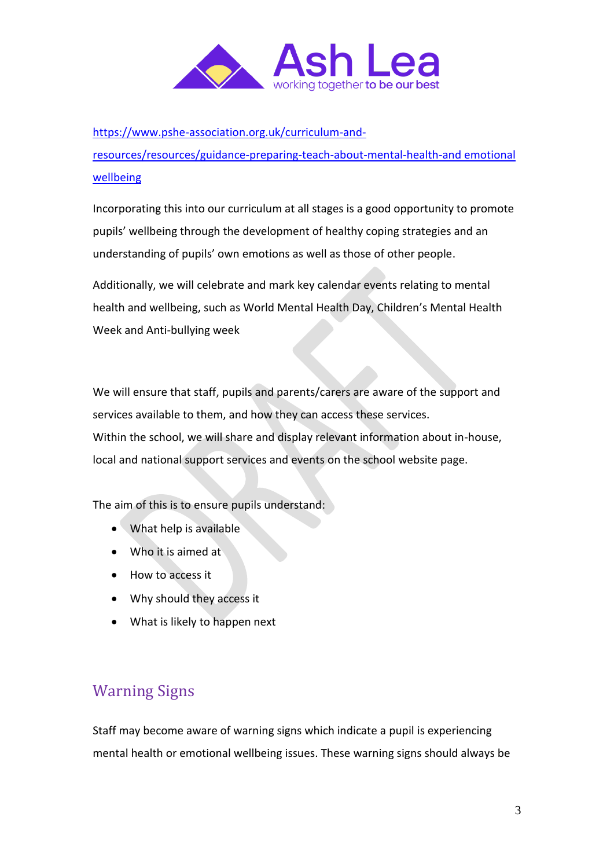

[https://www.pshe-association.org.uk/curriculum-and-](https://www.pshe-association.org.uk/curriculum-and-resources/resources/guidance-preparing-teach-about-mental-health-and)

[resources/resources/guidance-preparing-teach-about-mental-health-and](https://www.pshe-association.org.uk/curriculum-and-resources/resources/guidance-preparing-teach-about-mental-health-and) emotional wellbeing

Incorporating this into our curriculum at all stages is a good opportunity to promote pupils' wellbeing through the development of healthy coping strategies and an understanding of pupils' own emotions as well as those of other people.

Additionally, we will celebrate and mark key calendar events relating to mental health and wellbeing, such as World Mental Health Day, Children's Mental Health Week and Anti-bullying week

We will ensure that staff, pupils and parents/carers are aware of the support and services available to them, and how they can access these services. Within the school, we will share and display relevant information about in-house, local and national support services and events on the school website page.

The aim of this is to ensure pupils understand:

- What help is available
- Who it is aimed at
- How to access it
- Why should they access it
- What is likely to happen next

# Warning Signs

Staff may become aware of warning signs which indicate a pupil is experiencing mental health or emotional wellbeing issues. These warning signs should always be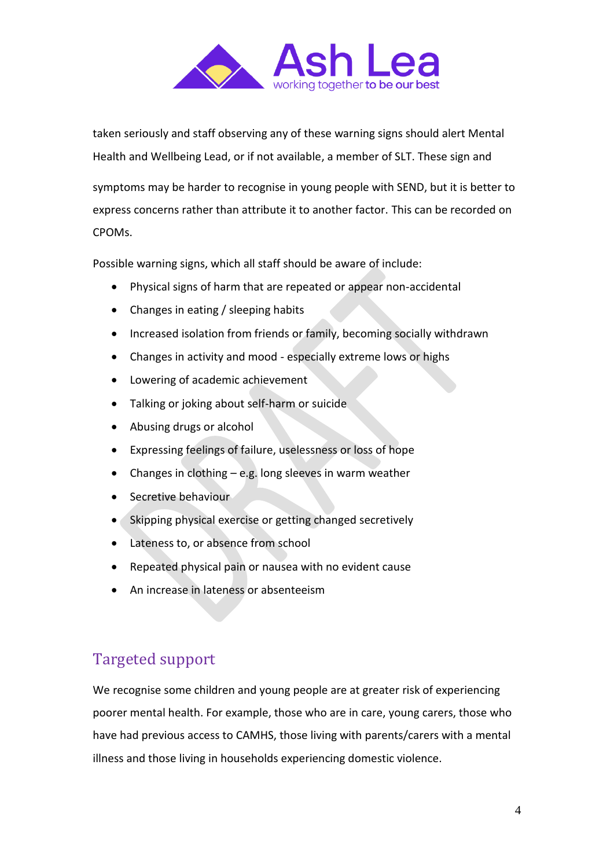

taken seriously and staff observing any of these warning signs should alert Mental Health and Wellbeing Lead, or if not available, a member of SLT. These sign and

symptoms may be harder to recognise in young people with SEND, but it is better to express concerns rather than attribute it to another factor. This can be recorded on CPOMs.

Possible warning signs, which all staff should be aware of include:

- Physical signs of harm that are repeated or appear non-accidental
- Changes in eating / sleeping habits
- Increased isolation from friends or family, becoming socially withdrawn
- Changes in activity and mood especially extreme lows or highs
- Lowering of academic achievement
- Talking or joking about self-harm or suicide
- Abusing drugs or alcohol
- Expressing feelings of failure, uselessness or loss of hope
- Changes in clothing e.g. long sleeves in warm weather
- Secretive behaviour
- Skipping physical exercise or getting changed secretively
- Lateness to, or absence from school
- Repeated physical pain or nausea with no evident cause
- An increase in lateness or absenteeism

### Targeted support

We recognise some children and young people are at greater risk of experiencing poorer mental health. For example, those who are in care, young carers, those who have had previous access to CAMHS, those living with parents/carers with a mental illness and those living in households experiencing domestic violence.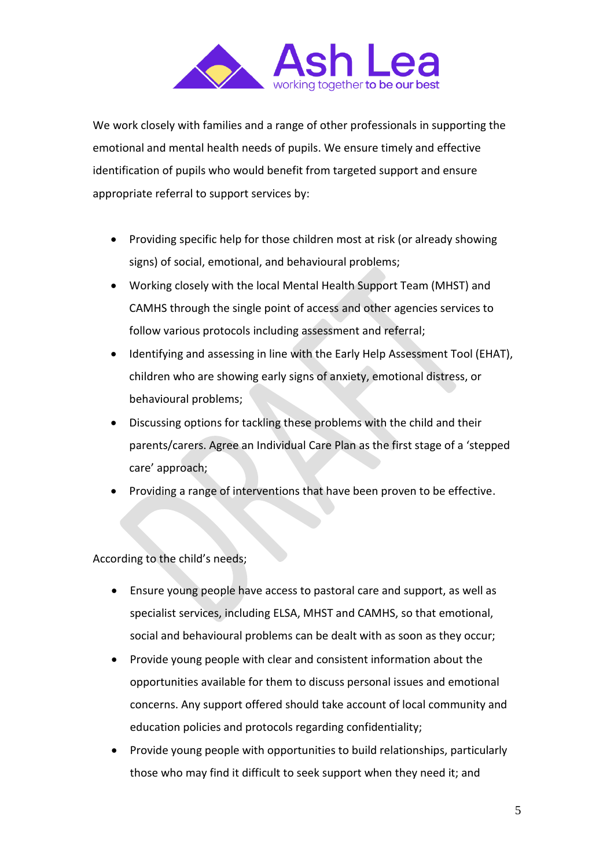

We work closely with families and a range of other professionals in supporting the emotional and mental health needs of pupils. We ensure timely and effective identification of pupils who would benefit from targeted support and ensure appropriate referral to support services by:

- Providing specific help for those children most at risk (or already showing signs) of social, emotional, and behavioural problems;
- Working closely with the local Mental Health Support Team (MHST) and CAMHS through the single point of access and other agencies services to follow various protocols including assessment and referral;
- Identifying and assessing in line with the Early Help Assessment Tool (EHAT), children who are showing early signs of anxiety, emotional distress, or behavioural problems;
- Discussing options for tackling these problems with the child and their parents/carers. Agree an Individual Care Plan as the first stage of a 'stepped care' approach;
- Providing a range of interventions that have been proven to be effective.

According to the child's needs;

- Ensure young people have access to pastoral care and support, as well as specialist services, including ELSA, MHST and CAMHS, so that emotional, social and behavioural problems can be dealt with as soon as they occur;
- Provide young people with clear and consistent information about the opportunities available for them to discuss personal issues and emotional concerns. Any support offered should take account of local community and education policies and protocols regarding confidentiality;
- Provide young people with opportunities to build relationships, particularly those who may find it difficult to seek support when they need it; and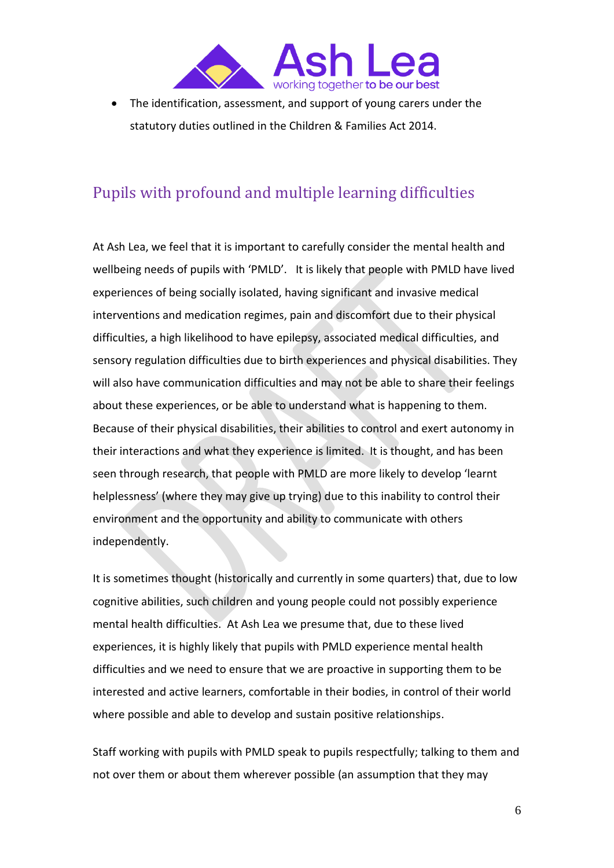

• The identification, assessment, and support of young carers under the statutory duties outlined in the Children & Families Act 2014.

### Pupils with profound and multiple learning difficulties

At Ash Lea, we feel that it is important to carefully consider the mental health and wellbeing needs of pupils with 'PMLD'. It is likely that people with PMLD have lived experiences of being socially isolated, having significant and invasive medical interventions and medication regimes, pain and discomfort due to their physical difficulties, a high likelihood to have epilepsy, associated medical difficulties, and sensory regulation difficulties due to birth experiences and physical disabilities. They will also have communication difficulties and may not be able to share their feelings about these experiences, or be able to understand what is happening to them. Because of their physical disabilities, their abilities to control and exert autonomy in their interactions and what they experience is limited. It is thought, and has been seen through research, that people with PMLD are more likely to develop 'learnt helplessness' (where they may give up trying) due to this inability to control their environment and the opportunity and ability to communicate with others independently.

It is sometimes thought (historically and currently in some quarters) that, due to low cognitive abilities, such children and young people could not possibly experience mental health difficulties. At Ash Lea we presume that, due to these lived experiences, it is highly likely that pupils with PMLD experience mental health difficulties and we need to ensure that we are proactive in supporting them to be interested and active learners, comfortable in their bodies, in control of their world where possible and able to develop and sustain positive relationships.

Staff working with pupils with PMLD speak to pupils respectfully; talking to them and not over them or about them wherever possible (an assumption that they may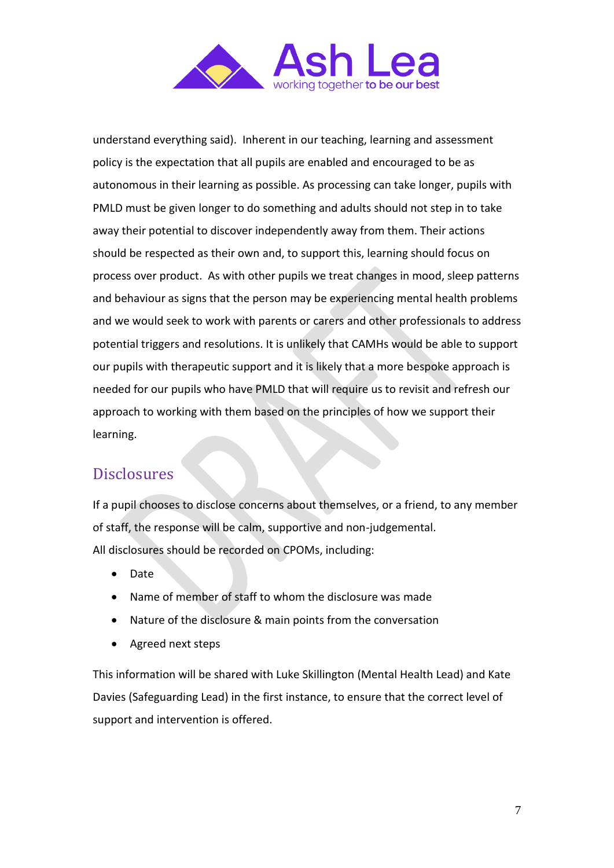

understand everything said). Inherent in our teaching, learning and assessment policy is the expectation that all pupils are enabled and encouraged to be as autonomous in their learning as possible. As processing can take longer, pupils with PMLD must be given longer to do something and adults should not step in to take away their potential to discover independently away from them. Their actions should be respected as their own and, to support this, learning should focus on process over product. As with other pupils we treat changes in mood, sleep patterns and behaviour as signs that the person may be experiencing mental health problems and we would seek to work with parents or carers and other professionals to address potential triggers and resolutions. It is unlikely that CAMHs would be able to support our pupils with therapeutic support and it is likely that a more bespoke approach is needed for our pupils who have PMLD that will require us to revisit and refresh our approach to working with them based on the principles of how we support their learning.

#### **Disclosures**

If a pupil chooses to disclose concerns about themselves, or a friend, to any member of staff, the response will be calm, supportive and non-judgemental. All disclosures should be recorded on CPOMs, including:

- Date
- Name of member of staff to whom the disclosure was made
- Nature of the disclosure & main points from the conversation
- Agreed next steps

This information will be shared with Luke Skillington (Mental Health Lead) and Kate Davies (Safeguarding Lead) in the first instance, to ensure that the correct level of support and intervention is offered.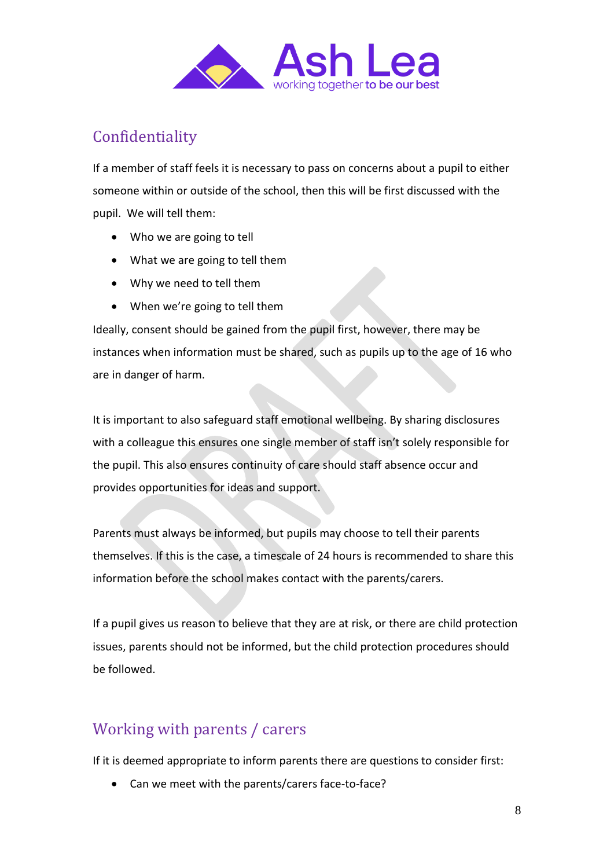

# Confidentiality

If a member of staff feels it is necessary to pass on concerns about a pupil to either someone within or outside of the school, then this will be first discussed with the pupil. We will tell them:

- Who we are going to tell
- What we are going to tell them
- Why we need to tell them
- When we're going to tell them

Ideally, consent should be gained from the pupil first, however, there may be instances when information must be shared, such as pupils up to the age of 16 who are in danger of harm.

It is important to also safeguard staff emotional wellbeing. By sharing disclosures with a colleague this ensures one single member of staff isn't solely responsible for the pupil. This also ensures continuity of care should staff absence occur and provides opportunities for ideas and support.

Parents must always be informed, but pupils may choose to tell their parents themselves. If this is the case, a timescale of 24 hours is recommended to share this information before the school makes contact with the parents/carers.

If a pupil gives us reason to believe that they are at risk, or there are child protection issues, parents should not be informed, but the child protection procedures should be followed.

# Working with parents / carers

If it is deemed appropriate to inform parents there are questions to consider first:

• Can we meet with the parents/carers face-to-face?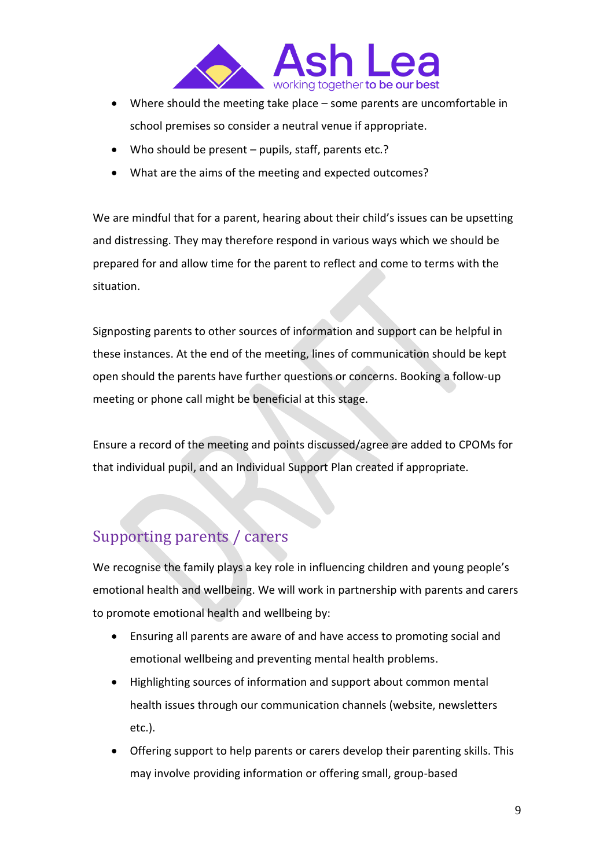

- Where should the meeting take place some parents are uncomfortable in school premises so consider a neutral venue if appropriate.
- Who should be present pupils, staff, parents etc.?
- What are the aims of the meeting and expected outcomes?

We are mindful that for a parent, hearing about their child's issues can be upsetting and distressing. They may therefore respond in various ways which we should be prepared for and allow time for the parent to reflect and come to terms with the situation.

Signposting parents to other sources of information and support can be helpful in these instances. At the end of the meeting, lines of communication should be kept open should the parents have further questions or concerns. Booking a follow-up meeting or phone call might be beneficial at this stage.

Ensure a record of the meeting and points discussed/agree are added to CPOMs for that individual pupil, and an Individual Support Plan created if appropriate.

# Supporting parents / carers

We recognise the family plays a key role in influencing children and young people's emotional health and wellbeing. We will work in partnership with parents and carers to promote emotional health and wellbeing by:

- Ensuring all parents are aware of and have access to promoting social and emotional wellbeing and preventing mental health problems.
- Highlighting sources of information and support about common mental health issues through our communication channels (website, newsletters etc.).
- Offering support to help parents or carers develop their parenting skills. This may involve providing information or offering small, group-based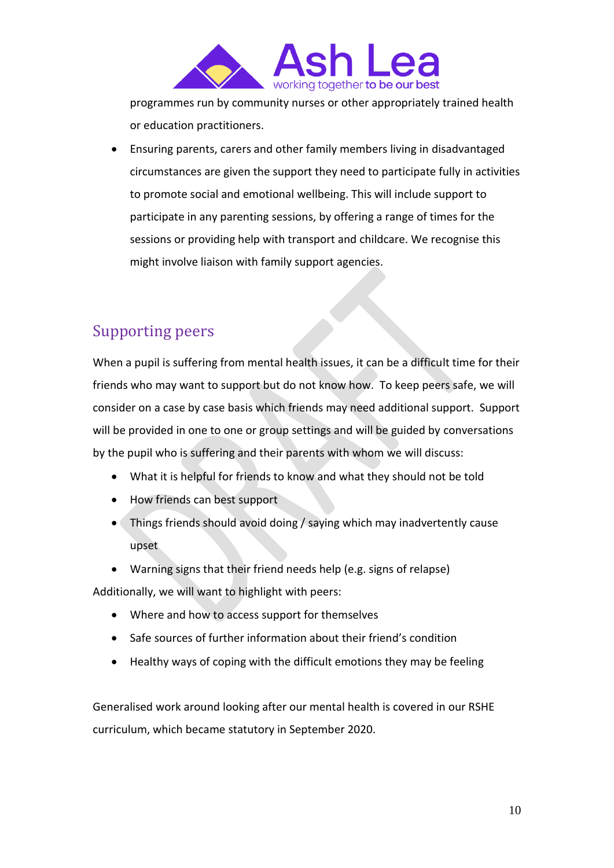

programmes run by community nurses or other appropriately trained health or education practitioners.

• Ensuring parents, carers and other family members living in disadvantaged circumstances are given the support they need to participate fully in activities to promote social and emotional wellbeing. This will include support to participate in any parenting sessions, by offering a range of times for the sessions or providing help with transport and childcare. We recognise this might involve liaison with family support agencies.

### Supporting peers

When a pupil is suffering from mental health issues, it can be a difficult time for their friends who may want to support but do not know how. To keep peers safe, we will consider on a case by case basis which friends may need additional support. Support will be provided in one to one or group settings and will be guided by conversations by the pupil who is suffering and their parents with whom we will discuss:

- What it is helpful for friends to know and what they should not be told
- How friends can best support
- Things friends should avoid doing / saying which may inadvertently cause upset
- Warning signs that their friend needs help (e.g. signs of relapse)

Additionally, we will want to highlight with peers:

- Where and how to access support for themselves
- Safe sources of further information about their friend's condition
- Healthy ways of coping with the difficult emotions they may be feeling

Generalised work around looking after our mental health is covered in our RSHE curriculum, which became statutory in September 2020.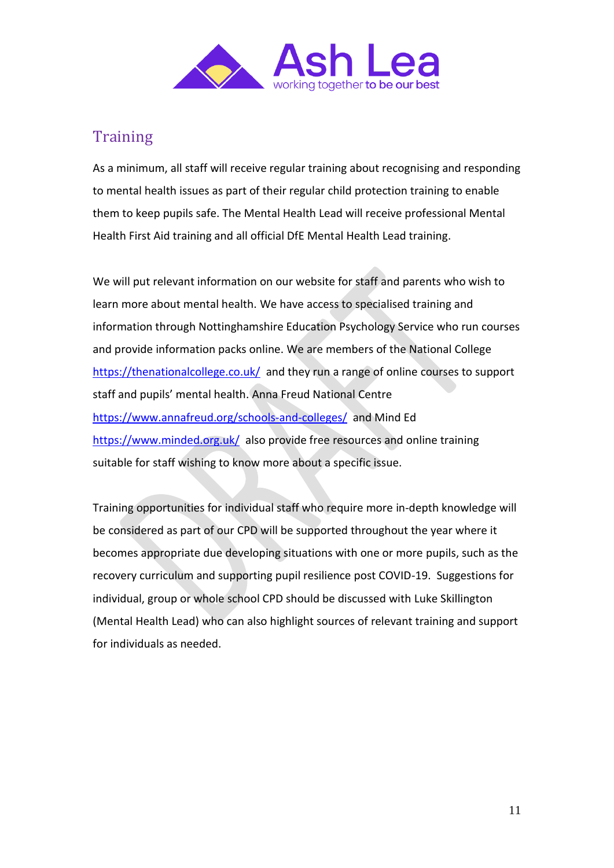

# **Training**

As a minimum, all staff will receive regular training about recognising and responding to mental health issues as part of their regular child protection training to enable them to keep pupils safe. The Mental Health Lead will receive professional Mental Health First Aid training and all official DfE Mental Health Lead training.

We will put relevant information on our website for staff and parents who wish to learn more about mental health. We have access to specialised training and information through Nottinghamshire Education Psychology Service who run courses and provide information packs online. We are members of the National College <https://thenationalcollege.co.uk/> and they run a range of online courses to support staff and pupils' mental health. Anna Freud National Centre <https://www.annafreud.org/schools-and-colleges/> and Mind Ed <https://www.minded.org.uk/> also provide free resources and online training suitable for staff wishing to know more about a specific issue.

Training opportunities for individual staff who require more in-depth knowledge will be considered as part of our CPD will be supported throughout the year where it becomes appropriate due developing situations with one or more pupils, such as the recovery curriculum and supporting pupil resilience post COVID-19. Suggestions for individual, group or whole school CPD should be discussed with Luke Skillington (Mental Health Lead) who can also highlight sources of relevant training and support for individuals as needed.